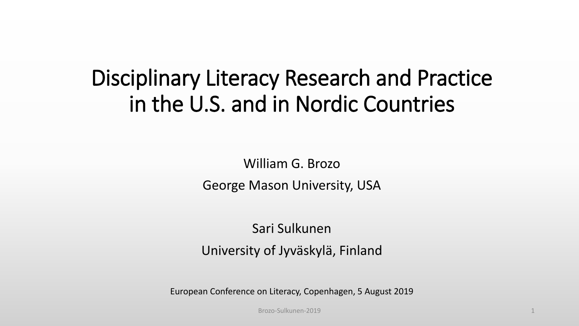#### Disciplinary Literacy Research and Practice in the U.S. and in Nordic Countries

William G. Brozo George Mason University, USA

Sari Sulkunen University of Jyväskylä, Finland

European Conference on Literacy, Copenhagen, 5 August 2019

Brozo-Sulkunen-2019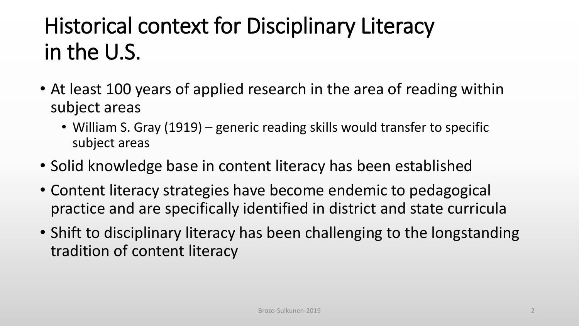#### Historical context for Disciplinary Literacy in the U.S.

- At least 100 years of applied research in the area of reading within subject areas
	- William S. Gray (1919) generic reading skills would transfer to specific subject areas
- Solid knowledge base in content literacy has been established
- Content literacy strategies have become endemic to pedagogical practice and are specifically identified in district and state curricula
- Shift to disciplinary literacy has been challenging to the longstanding tradition of content literacy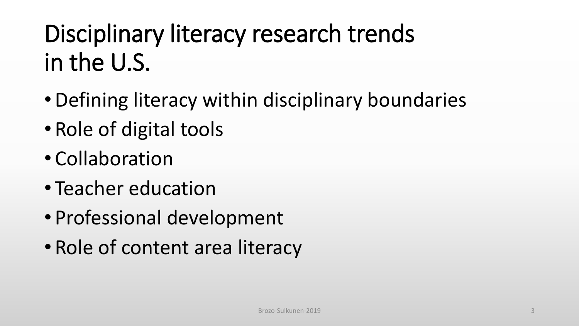## Disciplinary literacy research trends in the U.S.

- •Defining literacy within disciplinary boundaries
- Role of digital tools
- Collaboration
- Teacher education
- Professional development
- Role of content area literacy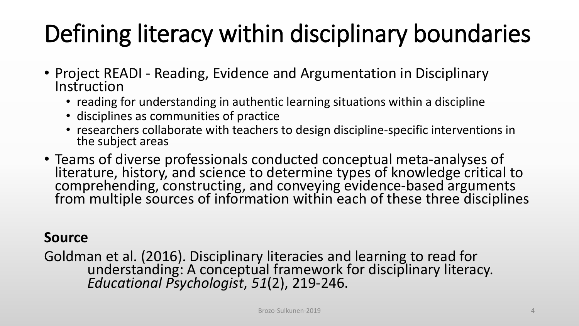## Defining literacy within disciplinary boundaries

- Project READI Reading, Evidence and Argumentation in Disciplinary **Instruction** 
	- reading for understanding in authentic learning situations within a discipline
	- disciplines as communities of practice
	- researchers collaborate with teachers to design discipline-specific interventions in the subject areas
- Teams of diverse professionals conducted conceptual meta-analyses of<br>literature, history, and science to determine types of knowledge critical to<br>comprehending, constructing, and conveying evidence-based arguments<br>from m

#### **Source**

Goldman et al. (2016). Disciplinary literacies and learning to read for understanding: A conceptual framework for disciplinary literacy. *Educational Psychologist*, *51*(2), 219-246.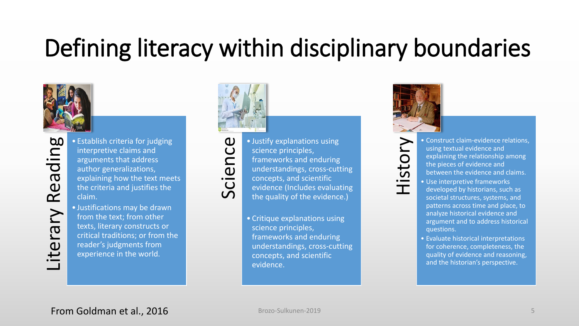#### Defining literacy within disciplinary boundaries



- Establish criteria for judging<br>interpretive claims and<br>arguments that address<br>author generalizations,<br>explaining how the text mee<br>the criteria and justifies the<br>claim.<br>• Justifications may be drawn<br>from the text; from ot interpretive claims and arguments that address author generalizations, explaining how the text meets the criteria and justifies the claim.
	- Justifications may be drawn from the text; from other texts, literary constructs or critical traditions; or from the reader's judgments from experience in the world.





Sustify explanations using<br>science principles,<br>frameworks and enduring<br>understandings, cross-cut<br>concepts, and scientific<br>evidence (Includes evalua<br>the quality of the evidence science principles, frameworks and enduring understandings, cross-cutting concepts, and scientific evidence (Includes evaluating the quality of the evidence.)

> • Critique explanations using science principles, frameworks and enduring understandings, cross-cutting concepts, and scientific evidence.



• Construct claim-evidence relations,<br>using textual evidence and<br>explaining the relationship among<br>the pieces of evidence and<br>between the evidence and claims.<br>• Use interpretive frameworks<br>developed by historians, such as using textual evidence and explaining the relationship among the pieces of evidence and between the evidence and claims.

- Use interpretive frameworks developed by historians, such as societal structures, systems, and patterns across time and place, to analyze historical evidence and argument and to address historical questions.
- Evaluate historical interpretations for coherence, completeness, the quality of evidence and reasoning, and the historian's perspective.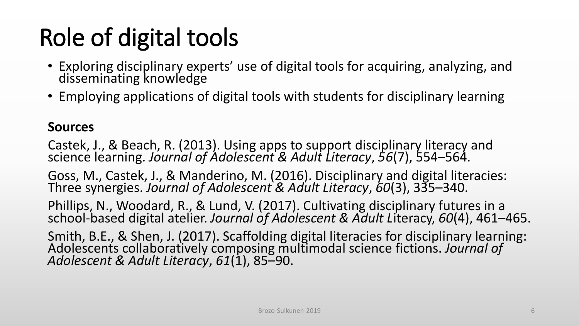#### Role of digital tools

- Exploring disciplinary experts' use of digital tools for acquiring, analyzing, and disseminating knowledge
- Employing applications of digital tools with students for disciplinary learning

#### **Sources**

Castek, J., & Beach, R. (2013). Using apps to support disciplinary literacy and science learning. *Journal of Adolescent & Adult Literacy*, *56*(7), 554–564. Goss, M., Castek, J., & Manderino, M. (2016). Disciplinary and digital literacies: Three synergies. *Journal of Adolescent & Adult Literacy*, *60*(3), 335–340. Phillips, N., Woodard, R., & Lund, V. (2017). Cultivating disciplinary futures in a school-based digital atelier. *Journal of Adolescent & Adult L*iteracy, *60*(4), 461–465. Smith, B.E., & Shen, J. (2017). Scaffolding digital literacies for disciplinary learning: Adolescents collaboratively composing multimodal science fictions. *Journal of Adolescent & Adult Literacy*, *61*(1), 85–90.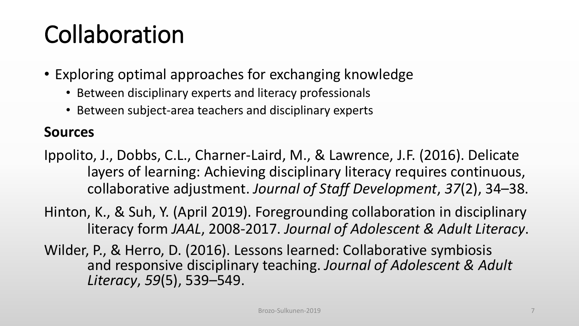### Collaboration

- Exploring optimal approaches for exchanging knowledge
	- Between disciplinary experts and literacy professionals
	- Between subject-area teachers and disciplinary experts

#### **Sources**

Ippolito, J., Dobbs, C.L., Charner-Laird, M., & Lawrence, J.F. (2016). Delicate layers of learning: Achieving disciplinary literacy requires continuous, collaborative adjustment. *Journal of Staff Development*, *37*(2), 34–38.

- Hinton, K., & Suh, Y. (April 2019). Foregrounding collaboration in disciplinary literacy form *JAAL*, 2008-2017. *Journal of Adolescent & Adult Literacy*.
- Wilder, P., & Herro, D. (2016). Lessons learned: Collaborative symbiosis and responsive disciplinary teaching. *Journal of Adolescent & Adult Literacy*, *59*(5), 539–549.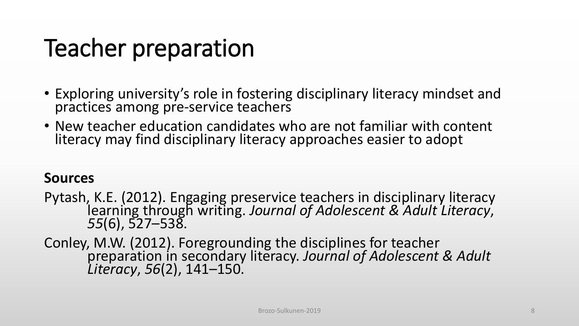### Teacher preparation

- Exploring university's role in fostering disciplinary literacy mindset and practices among pre-service teachers
- New teacher education candidates who are not familiar with content literacy may find disciplinary literacy approaches easier to adopt

#### **Sources**

Pytash, K.E. (2012). Engaging preservice teachers in disciplinary literacy learning through writing. *Journal of Adolescent & Adult Literacy*, *55*(6), 527–538.

Conley, M.W. (2012). Foregrounding the disciplines for teacher preparation in secondary literacy. *Journal of Adolescent & Adult Literacy*, *56*(2), 141–150.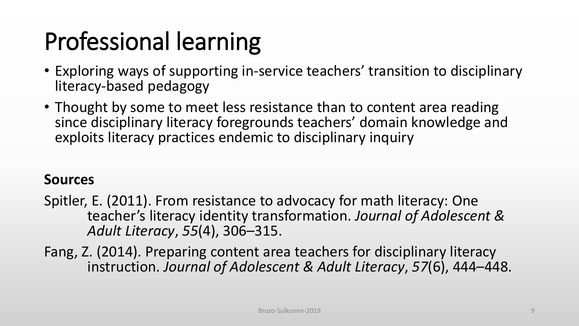## Professional learning

- Exploring ways of supporting in-service teachers' transition to disciplinary literacy-based pedagogy
- Thought by some to meet less resistance than to content area reading since disciplinary literacy foregrounds teachers' domain knowledge and exploits literacy practices endemic to disciplinary inquiry

#### **Sources**

- Spitler, E. (2011). From resistance to advocacy for math literacy: One teacher's literacy identity transformation. *Journal of Adolescent & Adult Literacy*, *55*(4), 306–315.
- Fang, Z. (2014). Preparing content area teachers for disciplinary literacy instruction. *Journal of Adolescent & Adult Literacy*, *57*(6), 444–448.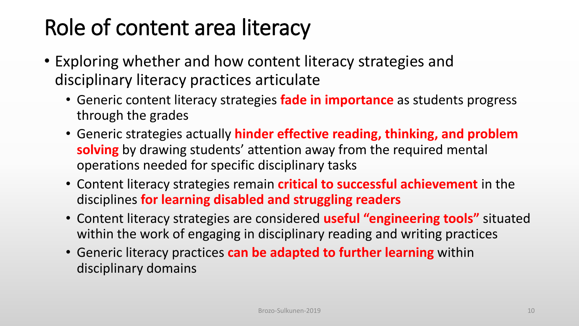#### Role of content area literacy

- Exploring whether and how content literacy strategies and disciplinary literacy practices articulate
	- Generic content literacy strategies **fade in importance** as students progress through the grades
	- Generic strategies actually **hinder effective reading, thinking, and problem solving** by drawing students' attention away from the required mental operations needed for specific disciplinary tasks
	- Content literacy strategies remain **critical to successful achievement** in the disciplines **for learning disabled and struggling readers**
	- Content literacy strategies are considered **useful "engineering tools"** situated within the work of engaging in disciplinary reading and writing practices
	- Generic literacy practices **can be adapted to further learning** within disciplinary domains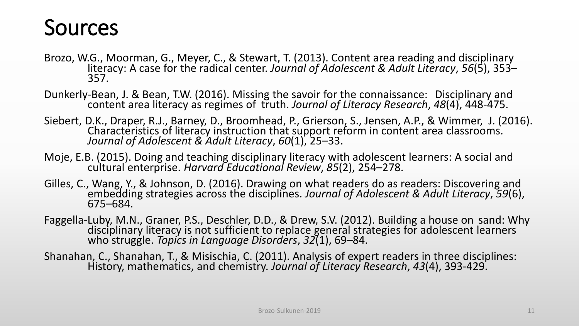#### Sources

- Brozo, W.G., Moorman, G., Meyer, C., & Stewart, T. (2013). Content area reading and disciplinary literacy: A case for the radical center. *Journal of Adolescent & Adult Literacy*, *56*(5), 353– 357.
- Dunkerly-Bean, J. & Bean, T.W. (2016). Missing the savoir for the connaissance: Disciplinary and content area literacy as regimes of truth. *Journal of Literacy Research*, *48*(4), 448-475.
- Siebert, D.K., Draper, R.J., Barney, D., Broomhead, P., Grierson, S., Jensen, A.P., & Wimmer, J. (2016). Characteristics of literacy instruction that support reform in content area classrooms. *Journal of Adolescent & Adult Literacy*, *60*(1), 25–33.
- Moje, E.B. (2015). Doing and teaching disciplinary literacy with adolescent learners: A social and cultural enterprise. *Harvard Educational Review*, *85*(2), 254–278.
- Gilles, C., Wang, Y., & Johnson, D. (2016). Drawing on what readers do as readers: Discovering and embedding strategies across the disciplines. *Journal of Adolescent & Adult Literacy*, *59*(6), 675–684.
- Faggella-Luby, M.N., Graner, P.S., Deschler, D.D., & Drew, S.V. (2012). Building a house on sand: Why<br>disciplinary literacy is not sufficient to replace general strategies for adolescent learners who struggle. *Topics in Language Disorders*, *32*(1), 69–84.
- Shanahan, C., Shanahan, T., & Misischia, C. (2011). Analysis of expert readers in three disciplines: History, mathematics, and chemistry. *Journal of Literacy Research*, *43*(4), 393-429.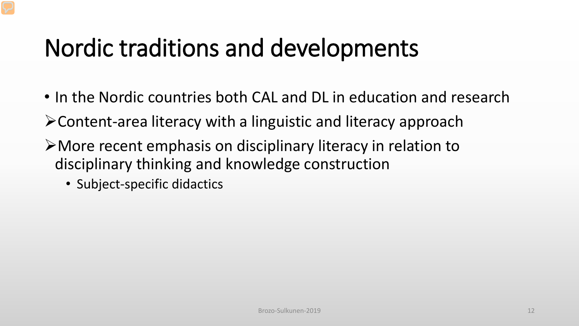- In the Nordic countries both CAL and DL in education and research
- Content-area literacy with a linguistic and literacy approach
- More recent emphasis on disciplinary literacy in relation to disciplinary thinking and knowledge construction
	- Subject-specific didactics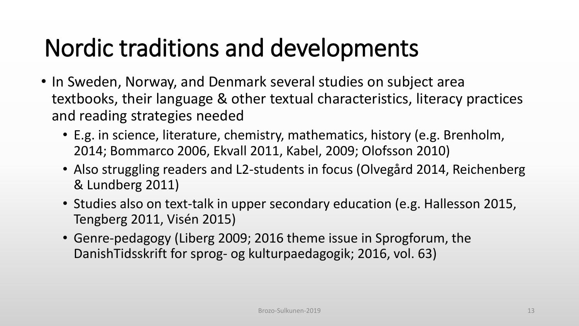- In Sweden, Norway, and Denmark several studies on subject area textbooks, their language & other textual characteristics, literacy practices and reading strategies needed
	- E.g. in science, literature, chemistry, mathematics, history (e.g. Brenholm, 2014; Bommarco 2006, Ekvall 2011, Kabel, 2009; Olofsson 2010)
	- Also struggling readers and L2-students in focus (Olvegård 2014, Reichenberg & Lundberg 2011)
	- Studies also on text-talk in upper secondary education (e.g. Hallesson 2015, Tengberg 2011, Visén 2015)
	- Genre-pedagogy (Liberg 2009; 2016 theme issue in Sprogforum, the DanishTidsskrift for sprog- og kulturpaedagogik; 2016, vol. 63)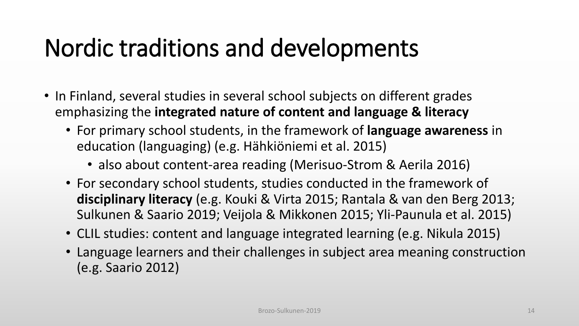- In Finland, several studies in several school subjects on different grades emphasizing the **integrated nature of content and language & literacy**
	- For primary school students, in the framework of **language awareness** in education (languaging) (e.g. Hähkiöniemi et al. 2015)
		- also about content-area reading (Merisuo-Strom & Aerila 2016)
	- For secondary school students, studies conducted in the framework of **disciplinary literacy** (e.g. Kouki & Virta 2015; Rantala & van den Berg 2013; Sulkunen & Saario 2019; Veijola & Mikkonen 2015; Yli-Paunula et al. 2015)
	- CLIL studies: content and language integrated learning (e.g. Nikula 2015)
	- Language learners and their challenges in subject area meaning construction (e.g. Saario 2012)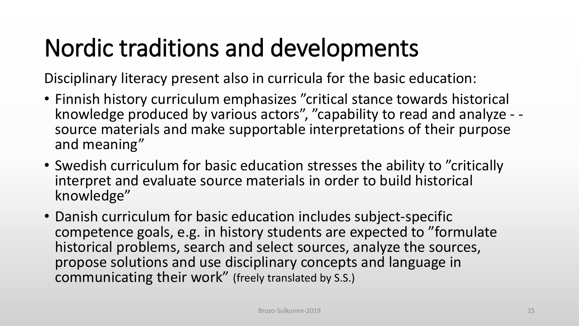Disciplinary literacy present also in curricula for the basic education:

- Finnish history curriculum emphasizes "critical stance towards historical<br>• knowledge produced by various actors", "capability to read and analyze source materials and make supportable interpretations of their purpose and meaning"
- Swedish curriculum for basic education stresses the ability to "critically interpret and evaluate source materials in order to build historical knowledge"
- Danish curriculum for basic education includes subject-specific competence goals, e.g. in history students are expected to "formulate historical problems, search and select sources, analyze the sources, propose solutions and use disciplinary concepts and language in communicating their work" (freely translated by S.S.)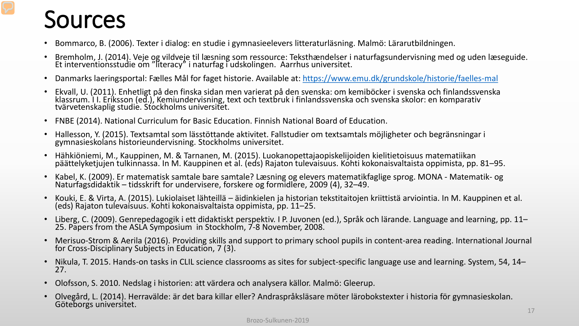#### Sources

- Bommarco, B. (2006). Texter i dialog: en studie i gymnasieelevers litteraturläsning. Malmö: Lärarutbildningen.
- Bremholm, J. (2014). Veje og vildveje til læsning som ressource: Teksthændelser i naturfagsundervisning med og uden læseguide. Et interventionsstudie om "literacy" i naturfag i udskolingen. Aarrhus universitet.
- Danmarks laeringsportal: Fælles Mål for faget historie. Available at: <https://www.emu.dk/grundskole/historie/faelles-mal>
- Ekvall, U. (2011). Enhetligt på den finska sidan men varierat på den svenska: om kemiböcker i svenska och finlandssvenska klassrum. I I. Eriksson (ed.), Kemiundervisning, text och textbruk i finlandssvenska och svenska skolor: en komparativ<br>tvärvetenskaplig studie. Stockholms universitet.
- FNBE (2014). National Curriculum for Basic Education. Finnish National Board of Education.
- Hallesson, Y. (2015). Textsamtal som lässtöttande aktivitet. Fallstudier om textsamtals möjligheter och begränsningar i gymnasieskolans historieundervisning. Stockholms universitet.
- Hähkiöniemi, M., Kauppinen, M. & Tarnanen, M. (2015). Luokanopettajaopiskelijoiden kielitietoisuus matematiikan<br>päättelyketiujen tulkinnassa. In M. Kauppinen et al. (eds) Rajaton tulevaisuus. Kohti kokonaisvaltaista oppimi
- Kabel, K. (2009). Er matematisk samtale bare samtale? Læsning og elevers matematikfaglige sprog. MONA Matematik- og<br>Naturfagsdidaktik tidsskrift for undervisere, forskere og formidlere, 2009 (4), 32–49.
- Kouki, E. & Virta, A. (2015). Lukiolaiset lähteillä äidinkielen ja historian tekstitaitojen kriittistä arviointia. In M. Kauppinen et al. (eds) Rajaton tulevaisuus. Kohti kokonaisvaltaista oppimista, pp. 11–25.
- Liberg, C. (2009). Genrepedagogik i ett didaktiskt perspektiv. I P. Juvonen (ed.), Språk och lärande. Language and learning, pp. 11– 25. Papers from the ASLA Symposium in Stockholm, 7-8 November, 2008.
- Merisuo-Strom & Aerila (2016). Providing skills and support to primary school pupils in content-area reading. International Journal for Cross-Disciplinary Subjects in Education, 7 (3).
- Nikula, T. 2015. Hands-on tasks in CLIL science classrooms as sites for subject-specific language use and learning. System, 54, 14– 27.
- Olofsson, S. 2010. Nedslag i historien: att värdera och analysera källor. Malmö: Gleerup.
- Olvegård, L. (2014). Herravälde: är det bara killar eller? Andraspråksläsare möter lärobokstexter i historia för gymnasieskolan. Göteborgs universitet.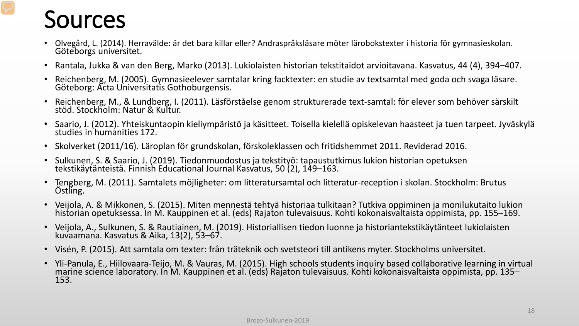#### Sources

- Olvegård, L. (2014). Herravälde: är det bara killar eller? Andraspråksläsare möter lärobokstexter i historia för gymnasieskolan. Göteborgs universitet.
- Rantala, Jukka & van den Berg, Marko (2013). Lukiolaisten historian tekstitaidot arvioitavana. Kasvatus, 44 (4), 394–407.
- Reichenberg, M. (2005). Gymnasieelever samtalar kring facktexter: en studie av textsamtal med goda och svaga läsare. Göteborg: Acta Universitatis Gothoburgensis.
- Reichenberg, M., & Lundberg, I. (2011). Läsförståelse genom strukturerade text-samtal: för elever som behöver särskilt stöd. Stockholm: Natur & Kultur.
- Saario, J. (2012). Yhteiskuntaopin kieliympäristö ja käsitteet. Toisella kielellä opiskelevan haasteet ja tuen tarpeet. Jyväskylä studies in humanities 172.
- Skolverket (2011/16). Läroplan för grundskolan, förskoleklassen och fritidshemmet 2011. Reviderad 2016.
- Sulkunen, S. & Saario, J. (2019). Tiedonmuodostus ja tekstityö: tapaustutkimus lukion historian opetuksen tekstikäytänteistä. Finnish Educational Journal Kasvatus, 50 (2), 149–163.
- Tengberg, M. (2011). Samtalets möjligheter: om litteratursamtal och litteratur-reception i skolan. Stockholm: Brutus Östling.
- Veijola, A. & Mikkonen, S. (2015). Miten mennestä tehtyä historiaa tulkitaan? Tutkiva oppiminen ja monilukutaito lukion historian opetuksessa. In M. Kauppinen et al. (eds) Rajaton tulevaisuus. Kohti kokonaisvaltaista oppimista, pp. 155–169.
- Veijola, A., Sulkunen, S. & Rautiainen, M. (2019). Historiallisen tiedon luonne ja historiantekstikäytänteet lukiolaisten kuvaamana. Kasvatus & Aika, 13(2), 53–67.
- Visén, P. (2015). Att samtala om texter: från träteknik och svetsteori till antikens myter. Stockholms universitet.
- Yli-Panula, E., Hiilovaara-Teijo, M. & Vauras, M. (2015). High schools students inquiry based collaborative learning in virtual marine science laboratory. In M. Kauppinen et al. (eds) Rajaton tulevaisuus. Kohti kokonaisvaltaista oppimista, pp. 135–<br>153.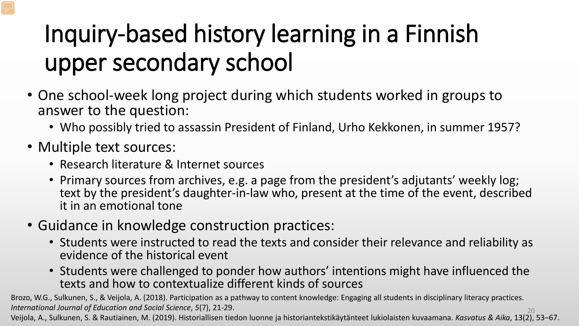## Inquiry-based history learning in a Finnish upper secondary school

- One school-week long project during which students worked in groups to answer to the question:
	- Who possibly tried to assassin President of Finland, Urho Kekkonen, in summer 1957?
- Multiple text sources:
	- Research literature & Internet sources
	- Primary sources from archives, e.g. a page from the president's adjutants' weekly log; text by the president's daughter-in-law who, present at the time of the event, described it in an emotional tone
- Guidance in knowledge construction practices:
	- Students were instructed to read the texts and consider their relevance and reliability as evidence of the historical event
	- Students were challenged to ponder how authors' intentions might have influenced the texts and how to contextualize different kinds of sources

20 Brozo, W.G., Sulkunen, S., & Veijola, A. (2018). Participation as a pathway to content knowledge: Engaging all students in disciplinary literacy practices. *International Journal of Education and Social Science*, *5*(7), 21-29.

Veijola, A., Sulkunen, S. & Rautiainen, M. (2019). Historiallisen tiedon luonne ja historiantekstikäytänteet lukiolaisten kuvaamana. *Kasvatus & Aika*, 13(2), 53–67.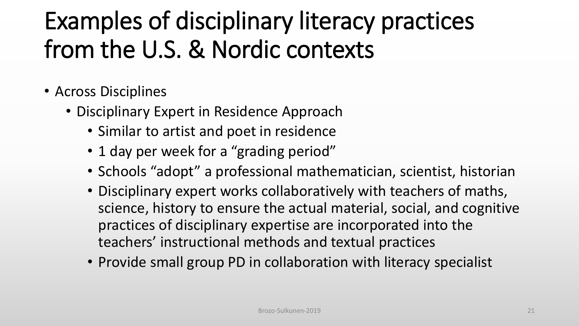- Across Disciplines
	- Disciplinary Expert in Residence Approach
		- Similar to artist and poet in residence
		- 1 day per week for a "grading period"
		- Schools "adopt" a professional mathematician, scientist, historian
		- Disciplinary expert works collaboratively with teachers of maths, science, history to ensure the actual material, social, and cognitive practices of disciplinary expertise are incorporated into the teachers' instructional methods and textual practices
		- Provide small group PD in collaboration with literacy specialist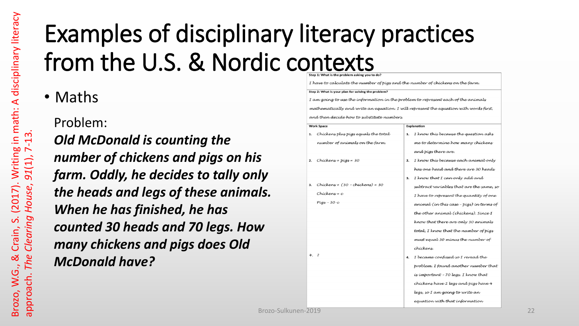• Maths

Problem:

*Old McDonald is counting the number of chickens and pigs on his farm. Oddly, he decides to tally only the heads and legs of these animals. When he has finished, he has counted 30 heads and 70 legs. How many chickens and pigs does Old McDonald have?*

|    | Step 2: What is your plan for solving the problem?                                    |    |                                          |
|----|---------------------------------------------------------------------------------------|----|------------------------------------------|
|    | I am going to use the information in the problem to represent each of the animals     |    |                                          |
|    | mathematically and write an equation. I will represent the equation with words first, |    |                                          |
|    | and then decide how to substitute numbers.                                            |    |                                          |
|    | <b>Work Space</b>                                                                     |    | <b>Explanation</b>                       |
| 1. | Chickens plus pigs equals the total                                                   | 1. | I know this because the question asks    |
|    | number of animals on the farm.                                                        |    | me to determine how many chickens        |
|    |                                                                                       |    | and pigs there are.                      |
| 2. | $Chickens + pigs = 30$                                                                | 2. | I know this because each animal only     |
|    |                                                                                       |    | has one head and there are 30 heads      |
|    |                                                                                       | 3. | I know that I can only add and           |
| 3. | $Chickens + (30 - chickens) = 30$                                                     |    | subtract variables that are the same, so |
|    | Chickens = c                                                                          |    | I have to represent the quantity of one  |
|    | $Pigs - 30-c$                                                                         |    | animal (in this case - pigs) in terms of |
|    |                                                                                       |    | the other animal (chickens). Since I     |
|    |                                                                                       |    | know that there are only 30 animals      |
|    |                                                                                       |    | total, I know that the number of pigs    |
|    |                                                                                       |    | must equal 30 minus the number of        |
|    |                                                                                       |    | chickens.                                |
|    | 4.7                                                                                   | 4. | I became confused so I reread the        |
|    |                                                                                       |    | problem. I found another number that     |
|    |                                                                                       |    | is important - 70 legs. I know that      |
|    |                                                                                       |    | chickens have 2 legs and pigs have 4     |
|    |                                                                                       |    | legs, so I am going to write an          |
|    |                                                                                       |    | equation with that information           |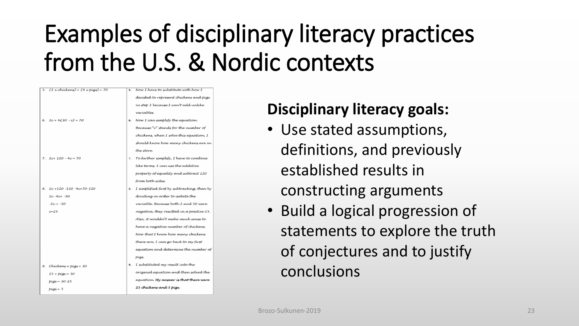| 5. (2 x chickens) + (4 x pigs) = 70 |    | 5. Now I have to substitute with how I     |  |
|-------------------------------------|----|--------------------------------------------|--|
|                                     |    | decided to represent chickens and pigs     |  |
|                                     |    | in step 3 because I can't add unlike       |  |
|                                     |    | variables                                  |  |
| 6. $2c+4(30-c)=70$                  |    | 6. Now I can simplify the equation.        |  |
|                                     |    | Because "c" stands for the number of       |  |
|                                     |    | chickens, when I solve this equation, I    |  |
|                                     |    | should know how many chickens are in       |  |
|                                     |    | the store.                                 |  |
| 7. $2c+120 - 4c = 70$               |    | 7. To further simplify, I have to combine  |  |
|                                     |    | like terms. I can use the additive         |  |
|                                     |    | property of equality and subtract 120      |  |
|                                     |    | from both sides.                           |  |
| 8. $2c+120-120-4c=70-120$           | 8. | I simplified first by subtracting, then by |  |
| $2c - 4c = -50$                     |    | dividing in order to isolate the           |  |
| $-2c = -50$                         |    | variable. Because both 2 and 50 were       |  |
| $c = 25$                            |    | negative, they resulted in a positive 25.  |  |
|                                     |    | Also, it wouldn't make much sense to       |  |
|                                     |    | have a negative number of chickens.        |  |
|                                     |    | Now that I know how many chickens          |  |
|                                     |    | there are, I can go back to my first       |  |
|                                     |    | equation and determine the number of       |  |
|                                     |    | pigs.                                      |  |
| 9. Chickens + pigs = 30             | 9. | I substituted my result into the           |  |
| $25 + p(qs = 30)$                   |    | original equation and then solved the      |  |
| $piqs = 30-25$                      |    | equation. My answer is that there were     |  |
| $pigs = 5$                          |    | 25 chickens and 5 pigs.                    |  |

#### **Disciplinary literacy goals:**

• Use stated assumptions, definitions, and previously established results in constructing arguments • Build a logical progression of statements to explore the truth of conjectures and to justify conclusions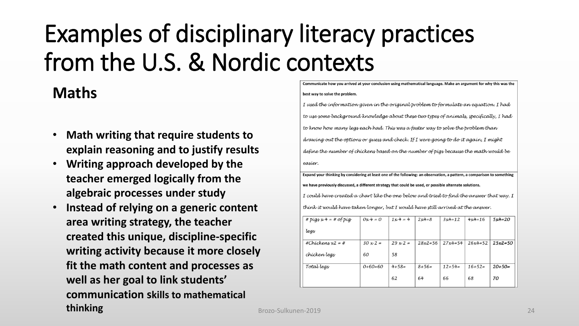#### **Maths**

- **Math writing that require students to explain reasoning and to justify results**
- **Writing approach developed by the teacher emerged logically from the algebraic processes under study**
- **Instead of relying on a generic content area writing strategy, the teacher created this unique, discipline-specific writing activity because it more closely fit the math content and processes as well as her goal to link students' communication skills to mathematical thinking**

#### Communicate how you arrived at your conclusion using mathematical language. Make an argument for why this was the best way to solve the problem.

I used the information given in the original problem to formulate an equation. I had to use some background knowledge about these two types of animals, specifically, I had to know how many legs each had. This was a faster way to solve the problem than drawing out the options or guess and check. If I were going to do it again, I might define the number of chickens based on the number of pigs because the math would be easier.

Expand your thinking by considering at least one of the following: an observation, a pattern, a comparison to something we have previously discussed, a different strategy that could be used, or possible alternate solutions. I could have created a chart like the one below and tried to find the answer that way. I think it would have taken longer, but I would have still arrived at the answer.

| # $pig_x x 4 = #$ of $pig$ | $0x4=0$         | $1x4 = 4$       | $2x4=8$      | $3x4=12$  | $4x4=16$  | $5x4=20$     |
|----------------------------|-----------------|-----------------|--------------|-----------|-----------|--------------|
| legs                       |                 |                 |              |           |           |              |
| #Chickens $x^2 = #$        | $30 \times 2 =$ | $29 \times 2 =$ | $28x^2 = 56$ | $27x4=54$ | $26x4=52$ | $25x^2 = 50$ |
| chicken legs               | 60              | 58              |              |           |           |              |
| Total legs                 | $0+60=60$       | $4 + 58 =$      | $8+56=$      | $12+54=$  | $16+52=$  | $20+50=$     |
|                            |                 | 62              | 64           | 66        | 68        | 70           |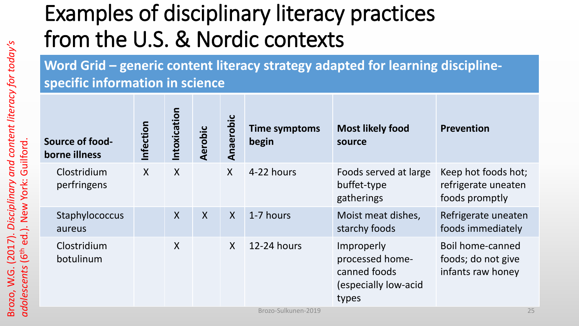**Word Grid – generic content literacy strategy adapted for learning disciplinespecific information in science**

| Source of food-<br>borne illness | Infection           | Intoxication              | Aerobic | Anaerobic    | <b>Time symptoms</b><br>begin | <b>Most likely food</b><br>source                                              | <b>Prevention</b>                                            |  |  |  |
|----------------------------------|---------------------|---------------------------|---------|--------------|-------------------------------|--------------------------------------------------------------------------------|--------------------------------------------------------------|--|--|--|
| Clostridium<br>perfringens       | $\mathsf{X}$        | $\boldsymbol{X}$          |         | $\sf X$      | 4-22 hours                    | Foods served at large<br>buffet-type<br>gatherings                             | Keep hot foods hot;<br>refrigerate uneaten<br>foods promptly |  |  |  |
| Staphylococcus<br>aureus         |                     | $\boldsymbol{X}$          | $\sf X$ | $\mathsf{X}$ | 1-7 hours                     | Moist meat dishes,<br>starchy foods                                            | Refrigerate uneaten<br>foods immediately                     |  |  |  |
| Clostridium<br>botulinum         |                     | $\boldsymbol{\mathsf{X}}$ |         | $\mathsf{X}$ | 12-24 hours                   | Improperly<br>processed home-<br>canned foods<br>(especially low-acid<br>types | Boil home-canned<br>foods; do not give<br>infants raw honey  |  |  |  |
|                                  | Brozo-Sulkunen-2019 |                           |         |              |                               |                                                                                |                                                              |  |  |  |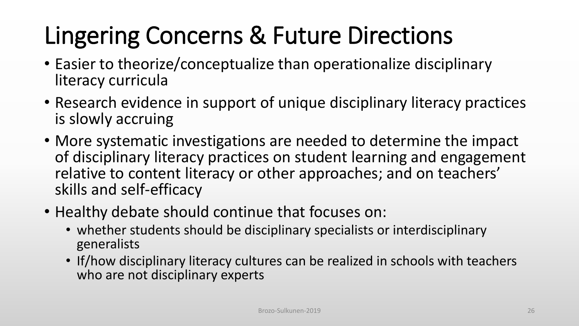## Lingering Concerns & Future Directions

- Easier to theorize/conceptualize than operationalize disciplinary literacy curricula
- Research evidence in support of unique disciplinary literacy practices is slowly accruing
- More systematic investigations are needed to determine the impact of disciplinary literacy practices on student learning and engagement relative to content literacy or other approaches; and on teachers' skills and self-efficacy
- Healthy debate should continue that focuses on:
	- whether students should be disciplinary specialists or interdisciplinary generalists
	- If/how disciplinary literacy cultures can be realized in schools with teachers who are not disciplinary experts